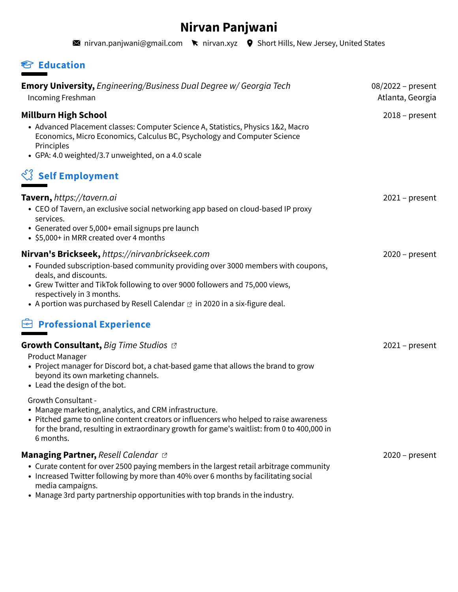# **Nirvan Panjwani**

**M** [nirvan.panjwani@gmail.com](mailto:nirvan.panjwani@gmail.com) **k** nirvan.xyz **9** Short Hills, New Jersey, United States

### **Education**

| Emory University, Engineering/Business Dual Degree w/ Georgia Tech<br>Incoming Freshman                                                                                                                                                                                                                                                                          | 08/2022 - present<br>Atlanta, Georgia |
|------------------------------------------------------------------------------------------------------------------------------------------------------------------------------------------------------------------------------------------------------------------------------------------------------------------------------------------------------------------|---------------------------------------|
| <b>Millburn High School</b><br>• Advanced Placement classes: Computer Science A, Statistics, Physics 1&2, Macro<br>Economics, Micro Economics, Calculus BC, Psychology and Computer Science<br>Principles<br>• GPA: 4.0 weighted/3.7 unweighted, on a 4.0 scale                                                                                                  | $2018$ – present                      |
| $\sqrt[3]{3}$ Self Employment                                                                                                                                                                                                                                                                                                                                    |                                       |
| Tavern, https://tavern.ai<br>• CEO of Tavern, an exclusive social networking app based on cloud-based IP proxy<br>services.<br>• Generated over 5,000+ email signups pre launch<br>• \$5,000+ in MRR created over 4 months                                                                                                                                       | $2021$ – present                      |
| Nirvan's Brickseek, https://nirvanbrickseek.com<br>• Founded subscription-based community providing over 3000 members with coupons,<br>deals, and discounts.<br>• Grew Twitter and TikTok following to over 9000 followers and 75,000 views,<br>respectively in 3 months.<br>• A portion was purchased by Resell Calendar $\alpha$ in 2020 in a six-figure deal. | $2020$ – present                      |
| <b>Professional Experience</b>                                                                                                                                                                                                                                                                                                                                   |                                       |
| Growth Consultant, Big Time Studios a<br><b>Product Manager</b><br>• Project manager for Discord bot, a chat-based game that allows the brand to grow<br>beyond its own marketing channels.<br>• Lead the design of the bot.                                                                                                                                     | $2021$ – present                      |
| <b>Growth Consultant -</b><br>• Manage marketing, analytics, and CRM infrastructure.<br>• Pitched game to online content creators or influencers who helped to raise awareness<br>for the brand, resulting in extraordinary growth for game's waitlist: from 0 to 400,000 in<br>6 months.                                                                        |                                       |
| <b>Managing Partner, Resell Calendar &amp;</b><br>• Curate content for over 2500 paying members in the largest retail arbitrage community<br>• Increased Twitter following by more than 40% over 6 months by facilitating social<br>media campaigns.                                                                                                             | $2020$ – present                      |

Manage 3rd party partnership opportunities with top brands in the industry.